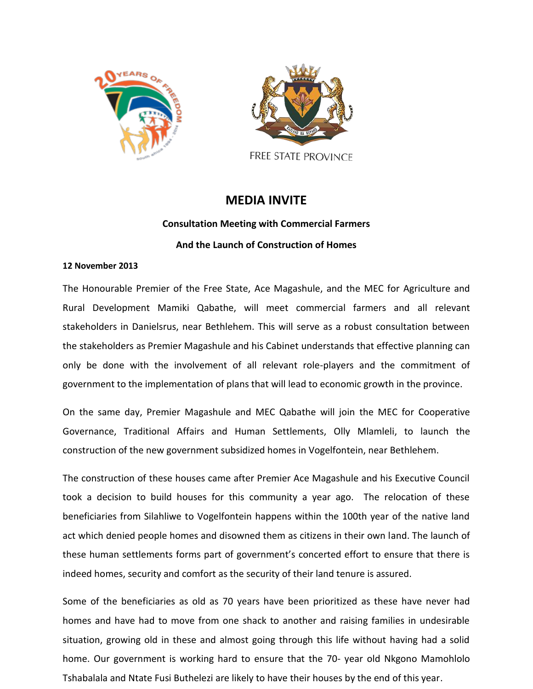



FREE STATE PROVINCE

### **MEDIA INVITE**

# **Consultation Meeting with Commercial Farmers And the Launch of Construction of Homes**

#### **12 November 2013**

The Honourable Premier of the Free State, Ace Magashule, and the MEC for Agriculture and Rural Development Mamiki Qabathe, will meet commercial farmers and all relevant stakeholders in Danielsrus, near Bethlehem. This will serve as a robust consultation between the stakeholders as Premier Magashule and his Cabinet understands that effective planning can only be done with the involvement of all relevant role-players and the commitment of government to the implementation of plans that will lead to economic growth in the province.

On the same day, Premier Magashule and MEC Qabathe will join the MEC for Cooperative Governance, Traditional Affairs and Human Settlements, Olly Mlamleli, to launch the construction of the new government subsidized homes in Vogelfontein, near Bethlehem.

The construction of these houses came after Premier Ace Magashule and his Executive Council took a decision to build houses for this community a year ago. The relocation of these beneficiaries from Silahliwe to Vogelfontein happens within the 100th year of the native land act which denied people homes and disowned them as citizens in their own land. The launch of these human settlements forms part of government's concerted effort to ensure that there is indeed homes, security and comfort as the security of their land tenure is assured.

Some of the beneficiaries as old as 70 years have been prioritized as these have never had homes and have had to move from one shack to another and raising families in undesirable situation, growing old in these and almost going through this life without having had a solid home. Our government is working hard to ensure that the 70- year old Nkgono Mamohlolo Tshabalala and Ntate Fusi Buthelezi are likely to have their houses by the end of this year.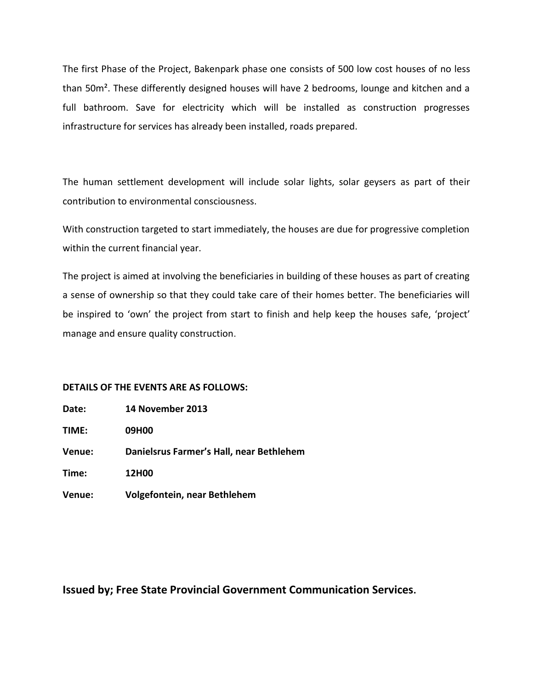The first Phase of the Project, Bakenpark phase one consists of 500 low cost houses of no less than 50m². These differently designed houses will have 2 bedrooms, lounge and kitchen and a full bathroom. Save for electricity which will be installed as construction progresses infrastructure for services has already been installed, roads prepared.

The human settlement development will include solar lights, solar geysers as part of their contribution to environmental consciousness.

With construction targeted to start immediately, the houses are due for progressive completion within the current financial year.

The project is aimed at involving the beneficiaries in building of these houses as part of creating a sense of ownership so that they could take care of their homes better. The beneficiaries will be inspired to 'own' the project from start to finish and help keep the houses safe, 'project' manage and ensure quality construction.

#### **DETAILS OF THE EVENTS ARE AS FOLLOWS:**

**Date: 14 November 2013**

**TIME: 09H00**

**Venue: Danielsrus Farmer's Hall, near Bethlehem**

**Time: 12H00**

**Venue: Volgefontein, near Bethlehem**

**Issued by; Free State Provincial Government Communication Services.**